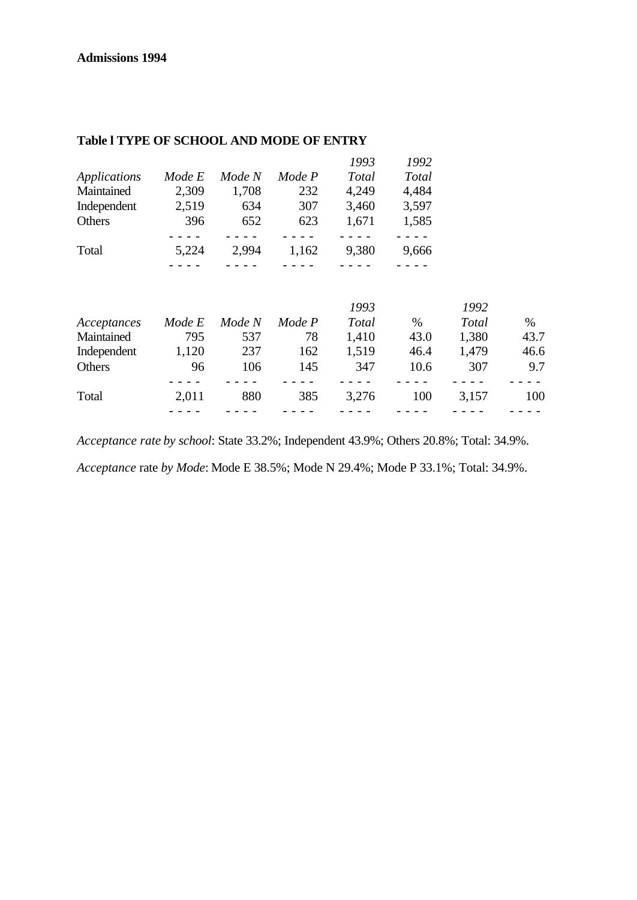|              |        |        |        | 1993  | 1992  |
|--------------|--------|--------|--------|-------|-------|
| Applications | Mode E | Mode N | Mode P | Total | Total |
| Maintained   | 2,309  | 1,708  | 232    | 4,249 | 4,484 |
| Independent  | 2,519  | 634    | 307    | 3,460 | 3,597 |
| Others       | 396    | 652    | 623    | 1,671 | 1,585 |
|              |        |        |        |       |       |
| Total        | 5,224  | 2,994  | 1,162  | 9,380 | 9,666 |
|              |        |        |        |       |       |

## **Table l TYPE OF SCHOOL AND MODE OF ENTRY**

|             |        |        |        | 1993  |      | 1992  |      |
|-------------|--------|--------|--------|-------|------|-------|------|
| Acceptances | Mode E | Mode N | Mode P | Total | $\%$ | Total | $\%$ |
| Maintained  | 795    | 537    | 78     | 1,410 | 43.0 | 1,380 | 43.7 |
| Independent | 1,120  | 237    | 162    | 1,519 | 46.4 | 1.479 | 46.6 |
| Others      | 96     | 106    | 145    | 347   | 10.6 | 307   | 9.7  |
| Total       | 2,011  | 880    | 385    | 3,276 | 100  | 3,157 | 100  |
|             |        |        |        |       |      |       |      |

*Acceptance rate by school*: State 33.2%; Independent 43.9%; Others 20.8%; Total: 34.9%.

*Acceptance* rate *by Mode*: Mode E 38.5%; Mode N 29.4%; Mode P 33.1%; Total: 34.9%.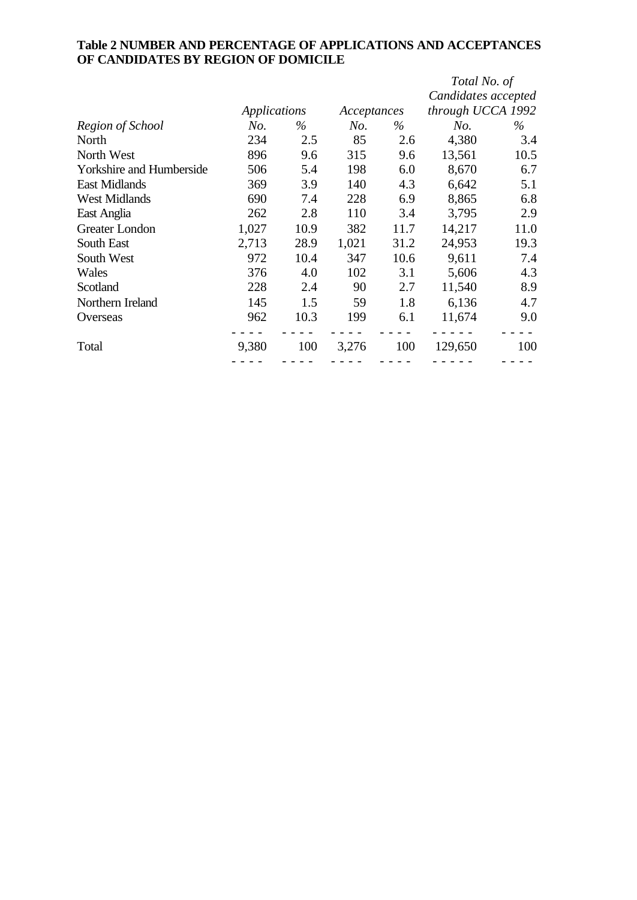## **Table 2 NUMBER AND PERCENTAGE OF APPLICATIONS AND ACCEPTANCES OF CANDIDATES BY REGION OF DOMICILE**

|       |                     |       |       | Total No. of        |                   |  |
|-------|---------------------|-------|-------|---------------------|-------------------|--|
|       |                     |       |       | Candidates accepted |                   |  |
|       | <b>Applications</b> |       |       |                     | through UCCA 1992 |  |
| No.   | $\%$                | No.   | $\%$  | No.                 | %                 |  |
| 234   | 2.5                 | 85    | 2.6   | 4,380               | 3.4               |  |
| 896   | 9.6                 | 315   | 9.6   | 13,561              | 10.5              |  |
| 506   | 5.4                 | 198   | 6.0   | 8,670               | 6.7               |  |
| 369   | 3.9                 | 140   | 4.3   | 6,642               | 5.1               |  |
| 690   | 7.4                 | 228   | 6.9   | 8,865               | 6.8               |  |
| 262   | 2.8                 | 110   | 3.4   | 3,795               | 2.9               |  |
| 1,027 | 10.9                | 382   | 11.7  | 14,217              | 11.0              |  |
| 2,713 | 28.9                | 1,021 | 31.2  | 24,953              | 19.3              |  |
| 972   | 10.4                | 347   | 10.6  | 9,611               | 7.4               |  |
| 376   | 4.0                 | 102   | 3.1   | 5,606               | 4.3               |  |
| 228   | 2.4                 | 90    | 2.7   | 11,540              | 8.9               |  |
| 145   | 1.5                 | 59    | 1.8   | 6,136               | 4.7               |  |
| 962   | 10.3                | 199   | 6.1   | 11,674              | 9.0               |  |
|       |                     |       |       |                     |                   |  |
|       |                     |       |       |                     | 100               |  |
|       | 9,380               | 100   | 3,276 | Acceptances<br>100  | 129,650           |  |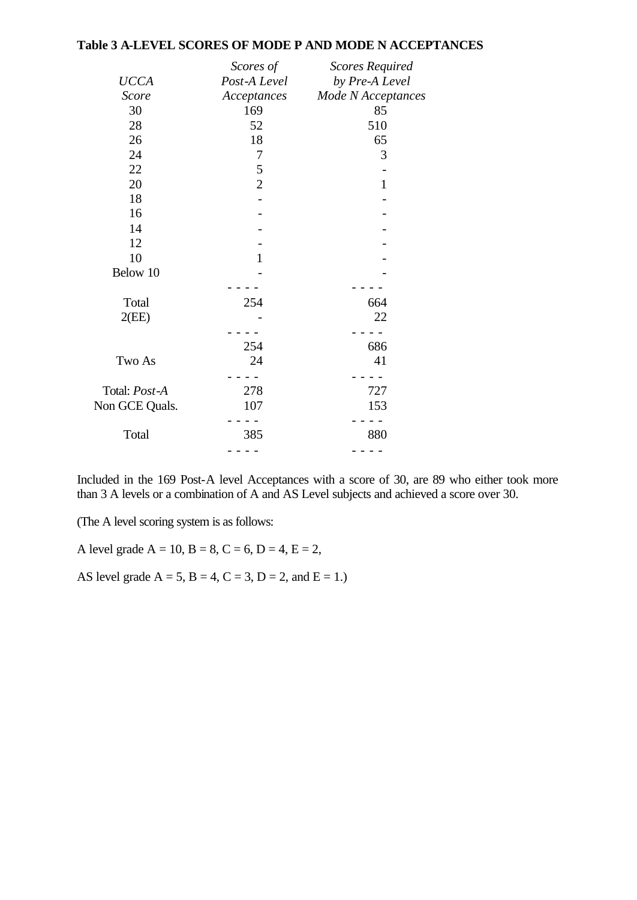#### **Table 3 A-LEVEL SCORES OF MODE P AND MODE N ACCEPTANCES**

|                | Scores of      | <b>Scores Required</b> |
|----------------|----------------|------------------------|
| <b>UCCA</b>    | Post-A Level   | by Pre-A Level         |
| <b>Score</b>   | Acceptances    | Mode N Acceptances     |
| 30             | 169            | 85                     |
| 28             | 52             | 510                    |
| 26             | 18             | 65                     |
| 24             | 7              | 3                      |
| 22             | $\mathfrak s$  |                        |
| 20             | $\overline{2}$ | $\mathbf{1}$           |
| 18             |                |                        |
| 16             |                |                        |
| 14             |                |                        |
| 12             |                |                        |
| 10             | $\mathbf{1}$   |                        |
| Below 10       |                |                        |
|                |                |                        |
| Total          | 254            | 664                    |
| 2(EE)          |                | 22                     |
|                |                |                        |
|                | 254            | 686                    |
| Two As         | 24             | 41                     |
|                |                |                        |
| Total: Post-A  | 278            | 727                    |
| Non GCE Quals. | 107            | 153                    |
|                |                |                        |
| Total          | 385            | 880                    |
|                |                |                        |
|                |                |                        |

Included in the 169 Post-A level Acceptances with a score of 30, are 89 who either took more than 3 A levels or a combination of A and AS Level subjects and achieved a score over 30.

(The A level scoring system is as follows:

A level grade  $A = 10$ ,  $B = 8$ ,  $C = 6$ ,  $D = 4$ ,  $E = 2$ ,

AS level grade  $A = 5$ ,  $B = 4$ ,  $C = 3$ ,  $D = 2$ , and  $E = 1$ .)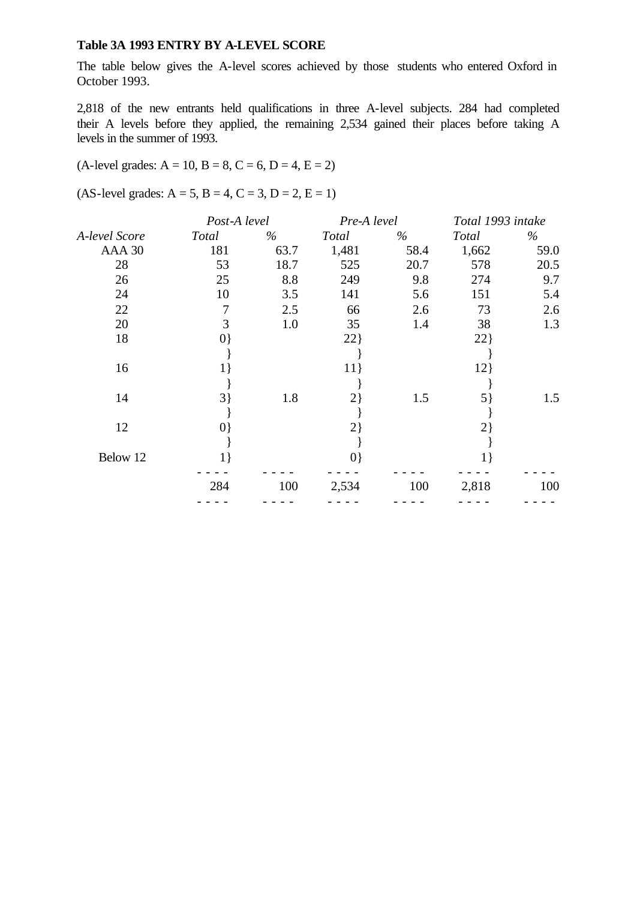#### **Table 3A 1993 ENTRY BY A-LEVEL SCORE**

The table below gives the A-level scores achieved by those students who entered Oxford in October 1993.

2,818 of the new entrants held qualifications in three A-level subjects. 284 had completed their A levels before they applied, the remaining 2,534 gained their places before taking A levels in the summer of 1993.

#### $(A$ -level grades:  $A = 10$ ,  $B = 8$ ,  $C = 6$ ,  $D = 4$ ,  $E = 2$ )

 $(AS-level grades: A = 5, B = 4, C = 3, D = 2, E = 1)$ 

|               | Post-A level |      | Pre-A level |      | Total 1993 intake |      |
|---------------|--------------|------|-------------|------|-------------------|------|
| A-level Score | Total        | $\%$ | Total       | $\%$ | Total             | %    |
| AAA 30        | 181          | 63.7 | 1,481       | 58.4 | 1,662             | 59.0 |
| 28            | 53           | 18.7 | 525         | 20.7 | 578               | 20.5 |
| 26            | 25           | 8.8  | 249         | 9.8  | 274               | 9.7  |
| 24            | 10           | 3.5  | 141         | 5.6  | 151               | 5.4  |
| 22            | 7            | 2.5  | 66          | 2.6  | 73                | 2.6  |
| 20            | 3            | 1.0  | 35          | 1.4  | 38                | 1.3  |
| 18            | $\{0\}$      |      | 22          |      | 22                |      |
|               |              |      |             |      |                   |      |
| 16            | $1\}$        |      | $11$ }      |      | 12                |      |
|               |              |      |             |      |                   |      |
| 14            | $3\}$        | 1.8  | $2\}$       | 1.5  | 5                 | 1.5  |
|               |              |      |             |      |                   |      |
| 12            | $ 0\rangle$  |      | $2\}$       |      | 2)                |      |
|               |              |      |             |      |                   |      |
| Below 12      | $1\}$        |      | $\{0\}$     |      | $1\}$             |      |
|               | 284          | 100  | 2,534       | 100  | 2,818             | 100  |
|               |              |      |             |      |                   |      |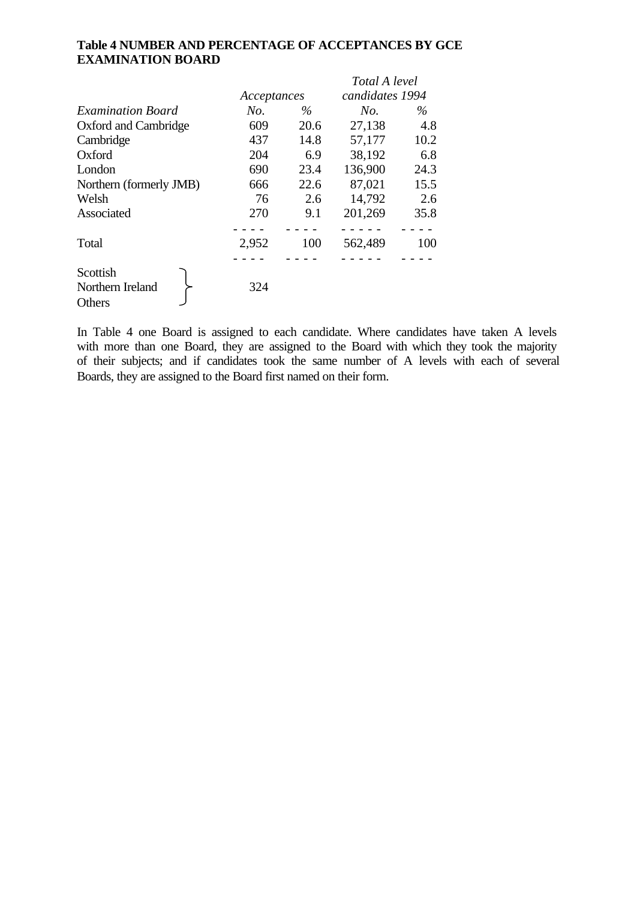### **Table 4 NUMBER AND PERCENTAGE OF ACCEPTANCES BY GCE EXAMINATION BOARD**

|                                        |             |      | Total A level   |      |  |
|----------------------------------------|-------------|------|-----------------|------|--|
|                                        | Acceptances |      | candidates 1994 |      |  |
| <b>Examination Board</b>               | No.         | $\%$ | No.             | $\%$ |  |
| Oxford and Cambridge                   | 609         | 20.6 | 27,138          | 4.8  |  |
| Cambridge                              | 437         | 14.8 | 57,177          | 10.2 |  |
| Oxford                                 | 204         | 6.9  | 38,192          | 6.8  |  |
| London                                 | 690         | 23.4 | 136,900         | 24.3 |  |
| Northern (formerly JMB)                | 666         | 22.6 | 87,021          | 15.5 |  |
| Welsh                                  | 76          | 2.6  | 14,792          | 2.6  |  |
| Associated                             | 270         | 9.1  | 201,269         | 35.8 |  |
|                                        |             |      |                 |      |  |
| Total                                  | 2,952       | 100  | 562,489         | 100  |  |
|                                        |             |      |                 |      |  |
| Scottish<br>Northern Ireland<br>Others | 324         |      |                 |      |  |

In Table 4 one Board is assigned to each candidate. Where candidates have taken A levels with more than one Board, they are assigned to the Board with which they took the majority of their subjects; and if candidates took the same number of A levels with each of several Boards, they are assigned to the Board first named on their form.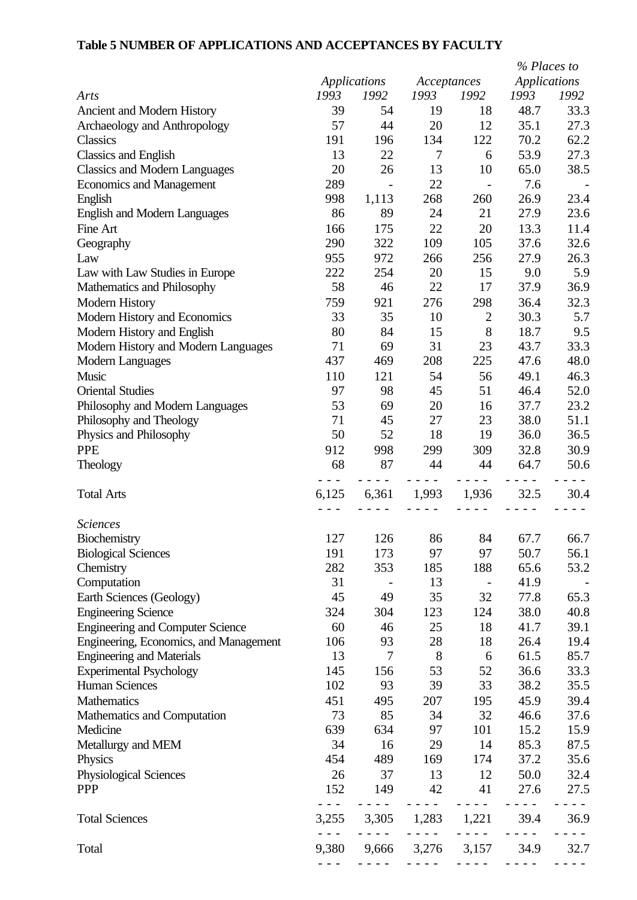# **Table 5 NUMBER OF APPLICATIONS AND ACCEPTANCES BY FACULTY**

|                                         |               |                                                                                                                                                                                                                           |                                      |                          | % Places to             |                                                                                                                                                                                                                                                                                                                                                                                                                                                |
|-----------------------------------------|---------------|---------------------------------------------------------------------------------------------------------------------------------------------------------------------------------------------------------------------------|--------------------------------------|--------------------------|-------------------------|------------------------------------------------------------------------------------------------------------------------------------------------------------------------------------------------------------------------------------------------------------------------------------------------------------------------------------------------------------------------------------------------------------------------------------------------|
|                                         |               | <b>Applications</b>                                                                                                                                                                                                       | Acceptances                          |                          | <b>Applications</b>     |                                                                                                                                                                                                                                                                                                                                                                                                                                                |
| Arts                                    | 1993          | 1992                                                                                                                                                                                                                      | 1993                                 | 1992                     | 1993                    | 1992                                                                                                                                                                                                                                                                                                                                                                                                                                           |
| Ancient and Modern History              | 39            | 54                                                                                                                                                                                                                        | 19                                   | 18                       | 48.7                    | 33.3                                                                                                                                                                                                                                                                                                                                                                                                                                           |
| Archaeology and Anthropology            | 57            | 44                                                                                                                                                                                                                        | 20                                   | 12                       | 35.1                    | 27.3                                                                                                                                                                                                                                                                                                                                                                                                                                           |
| Classics                                | 191           | 196                                                                                                                                                                                                                       | 134                                  | 122                      | 70.2                    | 62.2                                                                                                                                                                                                                                                                                                                                                                                                                                           |
| Classics and English                    | 13            | 22                                                                                                                                                                                                                        | $\tau$                               | 6                        | 53.9                    | 27.3                                                                                                                                                                                                                                                                                                                                                                                                                                           |
| <b>Classics and Modern Languages</b>    | 20            | 26                                                                                                                                                                                                                        | 13                                   | 10                       | 65.0                    | 38.5                                                                                                                                                                                                                                                                                                                                                                                                                                           |
| <b>Economics and Management</b>         | 289           |                                                                                                                                                                                                                           | 22                                   |                          | 7.6                     |                                                                                                                                                                                                                                                                                                                                                                                                                                                |
| English                                 | 998           | 1,113                                                                                                                                                                                                                     | 268                                  | 260                      | 26.9                    | 23.4                                                                                                                                                                                                                                                                                                                                                                                                                                           |
| <b>English and Modern Languages</b>     | 86            | 89                                                                                                                                                                                                                        | 24                                   | 21                       | 27.9                    | 23.6                                                                                                                                                                                                                                                                                                                                                                                                                                           |
| Fine Art                                | 166           | 175                                                                                                                                                                                                                       | 22                                   | 20                       | 13.3                    | 11.4                                                                                                                                                                                                                                                                                                                                                                                                                                           |
| Geography                               | 290           | 322                                                                                                                                                                                                                       | 109                                  | 105                      | 37.6                    | 32.6                                                                                                                                                                                                                                                                                                                                                                                                                                           |
| Law                                     | 955           | 972                                                                                                                                                                                                                       | 266                                  | 256                      | 27.9                    | 26.3                                                                                                                                                                                                                                                                                                                                                                                                                                           |
| Law with Law Studies in Europe          | 222           | 254                                                                                                                                                                                                                       | 20                                   | 15                       | 9.0                     | 5.9                                                                                                                                                                                                                                                                                                                                                                                                                                            |
| Mathematics and Philosophy              | 58            | 46                                                                                                                                                                                                                        | 22                                   | 17                       | 37.9                    | 36.9                                                                                                                                                                                                                                                                                                                                                                                                                                           |
| <b>Modern History</b>                   | 759           | 921                                                                                                                                                                                                                       | 276                                  | 298                      | 36.4                    | 32.3                                                                                                                                                                                                                                                                                                                                                                                                                                           |
| Modern History and Economics            | 33            | 35                                                                                                                                                                                                                        | 10                                   | $\mathbf{2}$             | 30.3                    | 5.7                                                                                                                                                                                                                                                                                                                                                                                                                                            |
| Modern History and English              | 80            | 84                                                                                                                                                                                                                        | 15                                   | 8                        | 18.7                    | 9.5                                                                                                                                                                                                                                                                                                                                                                                                                                            |
| Modern History and Modern Languages     | 71            | 69                                                                                                                                                                                                                        | 31                                   | 23                       | 43.7                    | 33.3                                                                                                                                                                                                                                                                                                                                                                                                                                           |
| <b>Modern Languages</b>                 | 437           | 469                                                                                                                                                                                                                       | 208                                  | 225                      | 47.6                    | 48.0                                                                                                                                                                                                                                                                                                                                                                                                                                           |
| Music                                   | 110           | 121                                                                                                                                                                                                                       | 54                                   | 56                       | 49.1                    | 46.3                                                                                                                                                                                                                                                                                                                                                                                                                                           |
| <b>Oriental Studies</b>                 | 97            | 98                                                                                                                                                                                                                        | 45                                   | 51                       | 46.4                    | 52.0                                                                                                                                                                                                                                                                                                                                                                                                                                           |
| Philosophy and Modern Languages         | 53            | 69                                                                                                                                                                                                                        | 20                                   | 16                       | 37.7                    | 23.2                                                                                                                                                                                                                                                                                                                                                                                                                                           |
| Philosophy and Theology                 | 71            | 45                                                                                                                                                                                                                        | 27                                   | 23                       | 38.0                    | 51.1                                                                                                                                                                                                                                                                                                                                                                                                                                           |
| Physics and Philosophy                  | 50            | 52                                                                                                                                                                                                                        | 18                                   | 19                       | 36.0                    | 36.5                                                                                                                                                                                                                                                                                                                                                                                                                                           |
| <b>PPE</b>                              | 912           | 998                                                                                                                                                                                                                       | 299                                  | 309                      | 32.8                    | 30.9                                                                                                                                                                                                                                                                                                                                                                                                                                           |
| Theology                                | 68            | 87                                                                                                                                                                                                                        | 44                                   | 44                       | 64.7                    | 50.6                                                                                                                                                                                                                                                                                                                                                                                                                                           |
|                                         |               |                                                                                                                                                                                                                           |                                      |                          |                         |                                                                                                                                                                                                                                                                                                                                                                                                                                                |
| <b>Total Arts</b>                       | 6,125         | 6,361                                                                                                                                                                                                                     | 1,993                                | 1,936                    | 32.5                    | 30.4                                                                                                                                                                                                                                                                                                                                                                                                                                           |
| <b>Sciences</b>                         |               |                                                                                                                                                                                                                           |                                      |                          |                         |                                                                                                                                                                                                                                                                                                                                                                                                                                                |
| Biochemistry                            | 127           | 126                                                                                                                                                                                                                       | 86                                   | 84                       | 67.7                    | 66.7                                                                                                                                                                                                                                                                                                                                                                                                                                           |
| <b>Biological Sciences</b>              | 191           | 173                                                                                                                                                                                                                       | 97                                   | 97                       | 50.7                    | 56.1                                                                                                                                                                                                                                                                                                                                                                                                                                           |
| Chemistry                               | 282           | 353                                                                                                                                                                                                                       | 185                                  | 188                      | 65.6                    | 53.2                                                                                                                                                                                                                                                                                                                                                                                                                                           |
| Computation                             | 31            |                                                                                                                                                                                                                           | 13                                   | $\overline{\phantom{a}}$ | 41.9                    |                                                                                                                                                                                                                                                                                                                                                                                                                                                |
| Earth Sciences (Geology)                | 45            | 49                                                                                                                                                                                                                        | 35                                   | 32                       | 77.8                    | 65.3                                                                                                                                                                                                                                                                                                                                                                                                                                           |
| <b>Engineering Science</b>              | 324           | 304                                                                                                                                                                                                                       | 123                                  | 124                      | 38.0                    | 40.8                                                                                                                                                                                                                                                                                                                                                                                                                                           |
| <b>Engineering and Computer Science</b> | 60            | 46                                                                                                                                                                                                                        | 25                                   | 18                       | 41.7                    | 39.1                                                                                                                                                                                                                                                                                                                                                                                                                                           |
| Engineering, Economics, and Management  | 106           | 93                                                                                                                                                                                                                        | 28                                   | 18                       | 26.4                    | 19.4                                                                                                                                                                                                                                                                                                                                                                                                                                           |
| <b>Engineering and Materials</b>        | 13            | $\overline{7}$                                                                                                                                                                                                            | 8                                    | 6                        | 61.5                    | 85.7                                                                                                                                                                                                                                                                                                                                                                                                                                           |
| <b>Experimental Psychology</b>          | 145           | 156                                                                                                                                                                                                                       | 53                                   | 52                       | 36.6                    | 33.3                                                                                                                                                                                                                                                                                                                                                                                                                                           |
| <b>Human Sciences</b>                   | 102           | 93                                                                                                                                                                                                                        | 39                                   | 33                       | 38.2                    | 35.5                                                                                                                                                                                                                                                                                                                                                                                                                                           |
| Mathematics                             | 451           | 495                                                                                                                                                                                                                       | 207                                  | 195                      | 45.9                    | 39.4                                                                                                                                                                                                                                                                                                                                                                                                                                           |
| Mathematics and Computation             | 73            | 85                                                                                                                                                                                                                        | 34                                   | 32                       | 46.6                    | 37.6                                                                                                                                                                                                                                                                                                                                                                                                                                           |
| Medicine                                | 639           | 634                                                                                                                                                                                                                       | 97                                   | 101                      | 15.2                    | 15.9                                                                                                                                                                                                                                                                                                                                                                                                                                           |
| Metallurgy and MEM                      | 34            | 16                                                                                                                                                                                                                        | 29                                   | 14                       | 85.3                    | 87.5                                                                                                                                                                                                                                                                                                                                                                                                                                           |
| Physics                                 | 454           | 489                                                                                                                                                                                                                       | 169                                  | 174                      | 37.2                    | 35.6                                                                                                                                                                                                                                                                                                                                                                                                                                           |
| Physiological Sciences                  | 26            | 37                                                                                                                                                                                                                        | 13                                   | 12                       | 50.0                    | 32.4                                                                                                                                                                                                                                                                                                                                                                                                                                           |
| <b>PPP</b>                              | 152           | 149                                                                                                                                                                                                                       | 42                                   | 41                       | 27.6                    | 27.5                                                                                                                                                                                                                                                                                                                                                                                                                                           |
|                                         | $\sim$ $\sim$ | - - - -                                                                                                                                                                                                                   | $   -$                               | $- - - -$                | $- - - -$               | $ -$                                                                                                                                                                                                                                                                                                                                                                                                                                           |
| <b>Total Sciences</b>                   | 3,255         | 3,305                                                                                                                                                                                                                     | 1,283                                | 1,221                    | 39.4                    | 36.9                                                                                                                                                                                                                                                                                                                                                                                                                                           |
| Total                                   | $- - -$       |                                                                                                                                                                                                                           | - - - - -<br>9,380 9,666 3,276 3,157 | $- - - -$                | 34.9                    | 32.7                                                                                                                                                                                                                                                                                                                                                                                                                                           |
|                                         | $- - -$       | $\frac{1}{2} \left( \frac{1}{2} \left( \frac{1}{2} \right) - \frac{1}{2} \left( \frac{1}{2} \right) \right) + \frac{1}{2} \left( \frac{1}{2} \left( \frac{1}{2} \right) - \frac{1}{2} \left( \frac{1}{2} \right) \right)$ |                                      |                          | $\omega$ in $\omega$ in | $\frac{1}{2} \left( \frac{1}{2} \right) \frac{1}{2} \left( \frac{1}{2} \right) \frac{1}{2} \left( \frac{1}{2} \right) \frac{1}{2} \left( \frac{1}{2} \right) \frac{1}{2} \left( \frac{1}{2} \right) \frac{1}{2} \left( \frac{1}{2} \right) \frac{1}{2} \left( \frac{1}{2} \right) \frac{1}{2} \left( \frac{1}{2} \right) \frac{1}{2} \left( \frac{1}{2} \right) \frac{1}{2} \left( \frac{1}{2} \right) \frac{1}{2} \left( \frac{1}{2} \right)$ |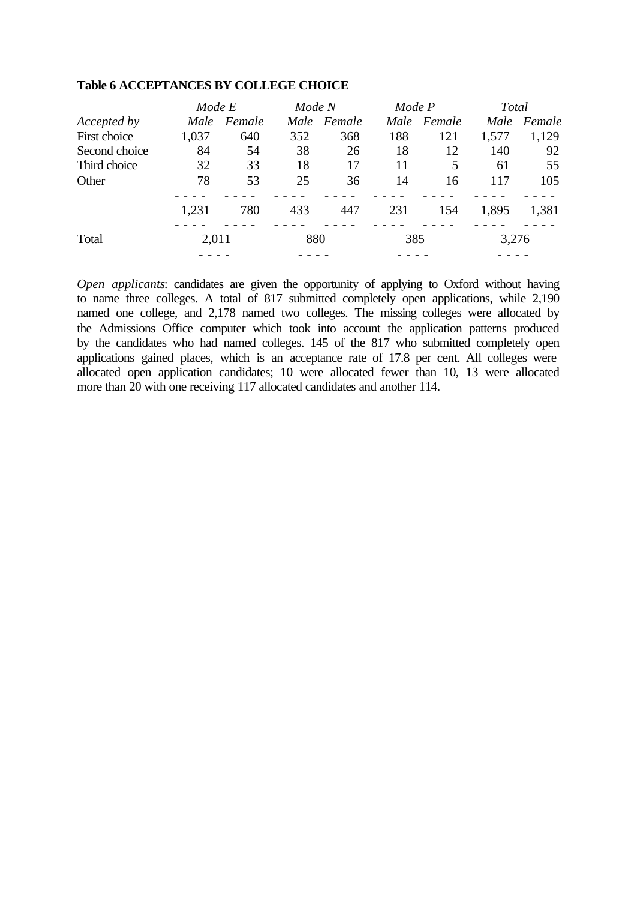|               |       | Mode E |     | Mode N      |      | Mode P |       | Total  |  |
|---------------|-------|--------|-----|-------------|------|--------|-------|--------|--|
| Accepted by   | Male  | Female |     | Male Female | Male | Female | Male  | Female |  |
| First choice  | 1,037 | 640    | 352 | 368         | 188  | 121    | 1,577 | 1,129  |  |
| Second choice | 84    | 54     | 38  | 26          | 18   | 12     | 140   | 92     |  |
| Third choice  | 32    | 33     | 18  | 17          | 11   | 5      | 61    | 55     |  |
| Other         | 78    | 53     | 25  | 36          | 14   | 16     | 117   | 105    |  |
|               | 1,231 | 780    | 433 | 447         | 231  | 154    | 1,895 | 1,381  |  |
| Total         | 2,011 |        | 880 |             | 385  |        | 3,276 |        |  |
|               |       |        |     |             |      |        |       |        |  |

#### **Table 6 ACCEPTANCES BY COLLEGE CHOICE**

*Open applicants*: candidates are given the opportunity of applying to Oxford without having to name three colleges. A total of 817 submitted completely open applications, while 2,190 named one college, and 2,178 named two colleges. The missing colleges were allocated by the Admissions Office computer which took into account the application patterns produced by the candidates who had named colleges. 145 of the 817 who submitted completely open applications gained places, which is an acceptance rate of 17.8 per cent. All colleges were allocated open application candidates; 10 were allocated fewer than 10, 13 were allocated more than 20 with one receiving 117 allocated candidates and another 114.